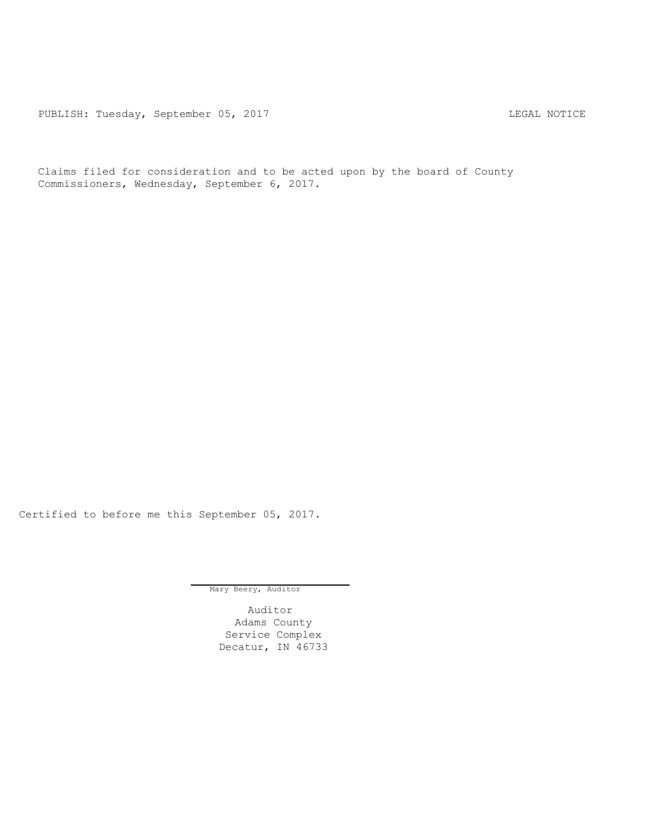PUBLISH: Tuesday, September 05, 2017 CUBLISH: Tuesday, September 05, 2017

Claims filed for consideration and to be acted upon by the board of County Commissioners, Wednesday, September 6, 2017.

Certified to before me this September 05, 2017.

Mary Beery, Auditor

Auditor Adams County Service Complex Decatur, IN 46733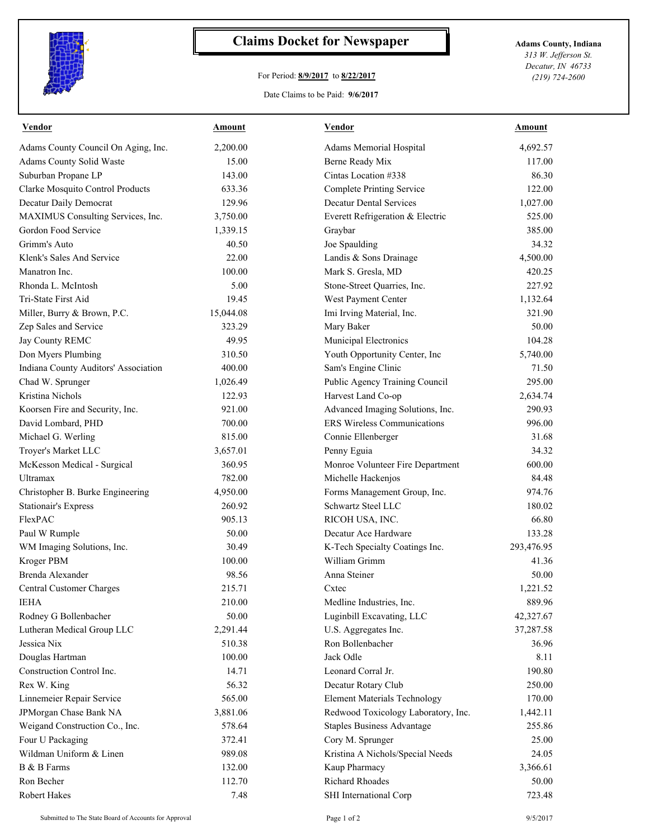

## **Claims Docket for Newspaper Adams County, Indiana**

## For Period: **8/9/2017** to **8/22/2017**

*313 W. Jefferson St. Decatur, IN 46733 (219) 724-2600*

Date Claims to be Paid: **9/6/2017**

| Vendor                               | Amount    | <b>Vendor</b>                                   | Amount              |
|--------------------------------------|-----------|-------------------------------------------------|---------------------|
| Adams County Council On Aging, Inc.  | 2,200.00  | Adams Memorial Hospital                         | 4,692.57            |
| Adams County Solid Waste             | 15.00     | Berne Ready Mix                                 | 117.00              |
| Suburban Propane LP                  | 143.00    | Cintas Location #338                            | 86.30               |
| Clarke Mosquito Control Products     | 633.36    | <b>Complete Printing Service</b>                | 122.00              |
| Decatur Daily Democrat               | 129.96    | <b>Decatur Dental Services</b>                  | 1,027.00            |
| MAXIMUS Consulting Services, Inc.    | 3,750.00  | Everett Refrigeration & Electric                | 525.00              |
| Gordon Food Service                  | 1,339.15  | Graybar                                         | 385.00              |
| Grimm's Auto                         | 40.50     | Joe Spaulding                                   | 34.32               |
| Klenk's Sales And Service            | 22.00     | Landis & Sons Drainage                          | 4,500.00            |
| Manatron Inc.                        | 100.00    | Mark S. Gresla, MD                              | 420.25              |
| Rhonda L. McIntosh                   | 5.00      | Stone-Street Quarries, Inc.                     | 227.92              |
| Tri-State First Aid                  | 19.45     | West Payment Center                             | 1,132.64            |
| Miller, Burry & Brown, P.C.          | 15,044.08 | Imi Irving Material, Inc.                       | 321.90              |
| Zep Sales and Service                | 323.29    | Mary Baker                                      | 50.00               |
| Jay County REMC                      | 49.95     | Municipal Electronics                           | 104.28              |
| Don Myers Plumbing                   | 310.50    | Youth Opportunity Center, Inc                   | 5,740.00            |
| Indiana County Auditors' Association | 400.00    | Sam's Engine Clinic                             | 71.50               |
| Chad W. Sprunger                     | 1,026.49  | Public Agency Training Council                  | 295.00              |
| Kristina Nichols                     | 122.93    | Harvest Land Co-op                              | 2,634.74            |
| Koorsen Fire and Security, Inc.      | 921.00    | Advanced Imaging Solutions, Inc.                | 290.93              |
| David Lombard, PHD                   | 700.00    | <b>ERS</b> Wireless Communications              | 996.00              |
| Michael G. Werling                   | 815.00    | Connie Ellenberger                              | 31.68               |
| Troyer's Market LLC                  | 3,657.01  | Penny Eguia                                     | 34.32               |
| McKesson Medical - Surgical          | 360.95    | Monroe Volunteer Fire Department                | 600.00              |
| <b>Ultramax</b>                      | 782.00    | Michelle Hackenjos                              | 84.48               |
| Christopher B. Burke Engineering     | 4,950.00  | Forms Management Group, Inc.                    | 974.76              |
| <b>Stationair's Express</b>          | 260.92    | Schwartz Steel LLC                              | 180.02              |
| FlexPAC                              | 905.13    | RICOH USA, INC.                                 | 66.80               |
|                                      | 50.00     | Decatur Ace Hardware                            | 133.28              |
| Paul W Rumple                        | 30.49     |                                                 |                     |
| WM Imaging Solutions, Inc.           |           | K-Tech Specialty Coatings Inc.<br>William Grimm | 293,476.95<br>41.36 |
| Kroger PBM                           | 100.00    |                                                 |                     |
| Brenda Alexander                     | 98.56     | Anna Steiner                                    | 50.00               |
| Central Customer Charges             | 215.71    | Cxtec                                           | 1,221.52            |
| <b>IEHA</b>                          | 210.00    | Medline Industries, Inc.                        | 889.96              |
| Rodney G Bollenbacher                | 50.00     | Luginbill Excavating, LLC                       | 42,327.67           |
| Lutheran Medical Group LLC           | 2,291.44  | U.S. Aggregates Inc.                            | 37,287.58           |
| Jessica Nix                          | 510.38    | Ron Bollenbacher                                | 36.96               |
| Douglas Hartman                      | 100.00    | Jack Odle                                       | 8.11                |
| Construction Control Inc.            | 14.71     | Leonard Corral Jr.                              | 190.80              |
| Rex W. King                          | 56.32     | Decatur Rotary Club                             | 250.00              |
| Linnemeier Repair Service            | 565.00    | <b>Element Materials Technology</b>             | 170.00              |
| JPMorgan Chase Bank NA               | 3,881.06  | Redwood Toxicology Laboratory, Inc.             | 1,442.11            |
| Weigand Construction Co., Inc.       | 578.64    | <b>Staples Business Advantage</b>               | 255.86              |
| Four U Packaging                     | 372.41    | Cory M. Sprunger                                | 25.00               |
| Wildman Uniform & Linen              | 989.08    | Kristina A Nichols/Special Needs                | 24.05               |
| B & B Farms                          | 132.00    | Kaup Pharmacy                                   | 3,366.61            |
| Ron Becher                           | 112.70    | <b>Richard Rhoades</b>                          | 50.00               |
| Robert Hakes                         | 7.48      | SHI International Corp                          | 723.48              |